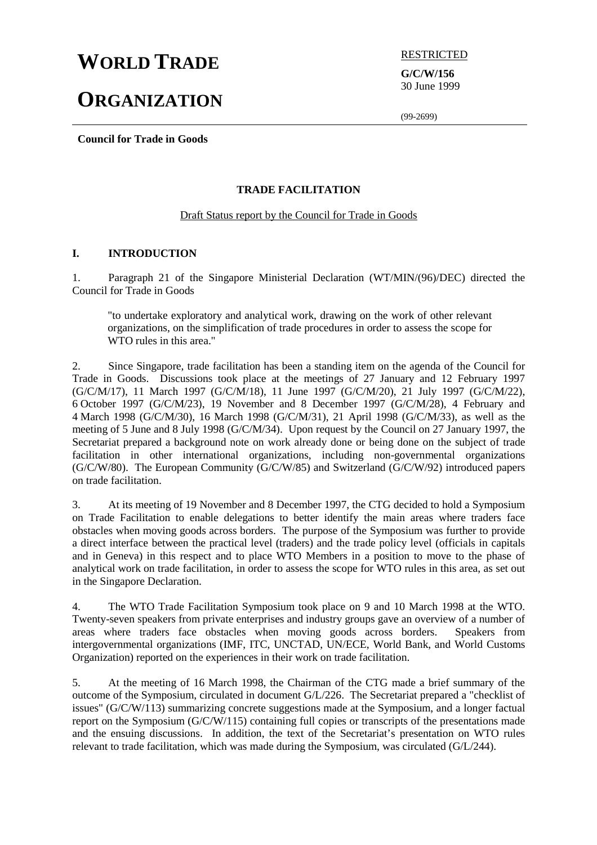# **WORLD TRADE ELECTRICTED**

## **ORGANIZATION**

**G/C/W/156** 30 June 1999

(99-2699)

**Council for Trade in Goods**

#### **TRADE FACILITATION**

#### Draft Status report by the Council for Trade in Goods

#### **I. INTRODUCTION**

1. Paragraph 21 of the Singapore Ministerial Declaration (WT/MIN/(96)/DEC) directed the Council for Trade in Goods

"to undertake exploratory and analytical work, drawing on the work of other relevant organizations, on the simplification of trade procedures in order to assess the scope for WTO rules in this area."

2. Since Singapore, trade facilitation has been a standing item on the agenda of the Council for Trade in Goods. Discussions took place at the meetings of 27 January and 12 February 1997 (G/C/M/17), 11 March 1997 (G/C/M/18), 11 June 1997 (G/C/M/20), 21 July 1997 (G/C/M/22), 6 October 1997 (G/C/M/23), 19 November and 8 December 1997 (G/C/M/28), 4 February and 4 March 1998 (G/C/M/30), 16 March 1998 (G/C/M/31), 21 April 1998 (G/C/M/33), as well as the meeting of 5 June and 8 July 1998 (G/C/M/34). Upon request by the Council on 27 January 1997, the Secretariat prepared a background note on work already done or being done on the subject of trade facilitation in other international organizations, including non-governmental organizations (G/C/W/80). The European Community (G/C/W/85) and Switzerland (G/C/W/92) introduced papers on trade facilitation.

3. At its meeting of 19 November and 8 December 1997, the CTG decided to hold a Symposium on Trade Facilitation to enable delegations to better identify the main areas where traders face obstacles when moving goods across borders. The purpose of the Symposium was further to provide a direct interface between the practical level (traders) and the trade policy level (officials in capitals and in Geneva) in this respect and to place WTO Members in a position to move to the phase of analytical work on trade facilitation, in order to assess the scope for WTO rules in this area, as set out in the Singapore Declaration.

4. The WTO Trade Facilitation Symposium took place on 9 and 10 March 1998 at the WTO. Twenty-seven speakers from private enterprises and industry groups gave an overview of a number of areas where traders face obstacles when moving goods across borders. Speakers from intergovernmental organizations (IMF, ITC, UNCTAD, UN/ECE, World Bank, and World Customs Organization) reported on the experiences in their work on trade facilitation.

5. At the meeting of 16 March 1998, the Chairman of the CTG made a brief summary of the outcome of the Symposium, circulated in document G/L/226. The Secretariat prepared a "checklist of issues" (G/C/W/113) summarizing concrete suggestions made at the Symposium, and a longer factual report on the Symposium (G/C/W/115) containing full copies or transcripts of the presentations made and the ensuing discussions. In addition, the text of the Secretariat's presentation on WTO rules relevant to trade facilitation, which was made during the Symposium, was circulated (G/L/244).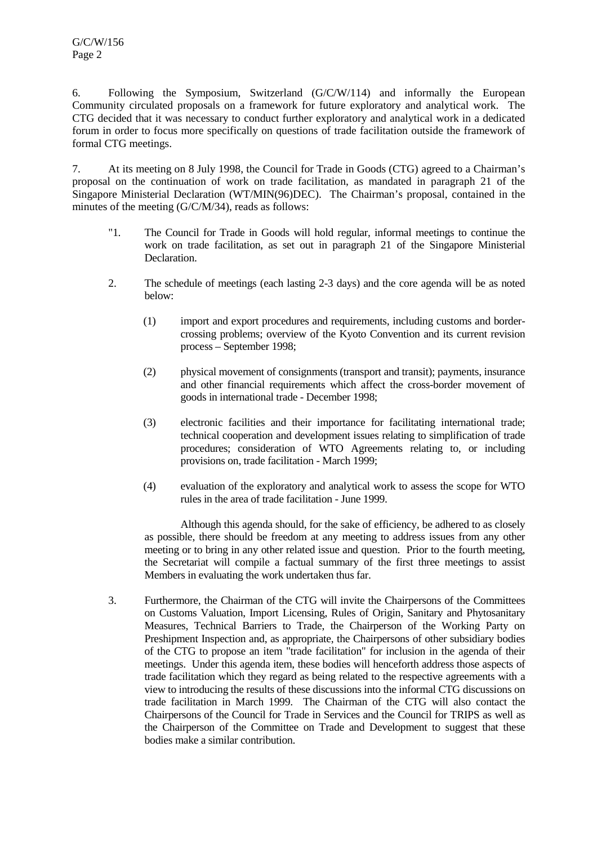6. Following the Symposium, Switzerland (G/C/W/114) and informally the European Community circulated proposals on a framework for future exploratory and analytical work. The CTG decided that it was necessary to conduct further exploratory and analytical work in a dedicated forum in order to focus more specifically on questions of trade facilitation outside the framework of formal CTG meetings.

7. At its meeting on 8 July 1998, the Council for Trade in Goods (CTG) agreed to a Chairman's proposal on the continuation of work on trade facilitation, as mandated in paragraph 21 of the Singapore Ministerial Declaration (WT/MIN(96)DEC). The Chairman's proposal, contained in the minutes of the meeting (G/C/M/34), reads as follows:

- "1. The Council for Trade in Goods will hold regular, informal meetings to continue the work on trade facilitation, as set out in paragraph 21 of the Singapore Ministerial Declaration.
- 2. The schedule of meetings (each lasting 2-3 days) and the core agenda will be as noted below:
	- (1) import and export procedures and requirements, including customs and bordercrossing problems; overview of the Kyoto Convention and its current revision process – September 1998;
	- (2) physical movement of consignments (transport and transit); payments, insurance and other financial requirements which affect the cross-border movement of goods in international trade - December 1998;
	- (3) electronic facilities and their importance for facilitating international trade; technical cooperation and development issues relating to simplification of trade procedures; consideration of WTO Agreements relating to, or including provisions on, trade facilitation - March 1999;
	- (4) evaluation of the exploratory and analytical work to assess the scope for WTO rules in the area of trade facilitation - June 1999.

Although this agenda should, for the sake of efficiency, be adhered to as closely as possible, there should be freedom at any meeting to address issues from any other meeting or to bring in any other related issue and question. Prior to the fourth meeting, the Secretariat will compile a factual summary of the first three meetings to assist Members in evaluating the work undertaken thus far.

3. Furthermore, the Chairman of the CTG will invite the Chairpersons of the Committees on Customs Valuation, Import Licensing, Rules of Origin, Sanitary and Phytosanitary Measures, Technical Barriers to Trade, the Chairperson of the Working Party on Preshipment Inspection and, as appropriate, the Chairpersons of other subsidiary bodies of the CTG to propose an item "trade facilitation" for inclusion in the agenda of their meetings. Under this agenda item, these bodies will henceforth address those aspects of trade facilitation which they regard as being related to the respective agreements with a view to introducing the results of these discussions into the informal CTG discussions on trade facilitation in March 1999. The Chairman of the CTG will also contact the Chairpersons of the Council for Trade in Services and the Council for TRIPS as well as the Chairperson of the Committee on Trade and Development to suggest that these bodies make a similar contribution.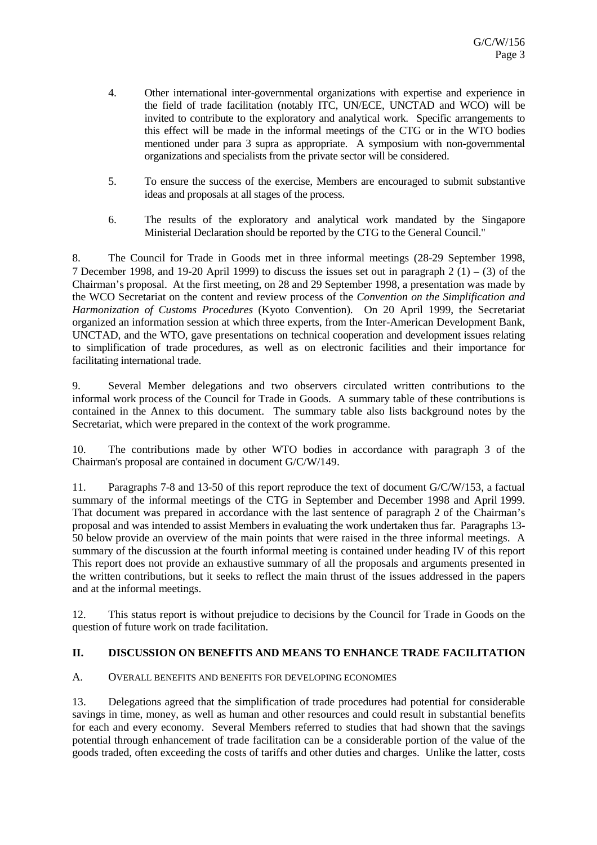- 4. Other international inter-governmental organizations with expertise and experience in the field of trade facilitation (notably ITC, UN/ECE, UNCTAD and WCO) will be invited to contribute to the exploratory and analytical work. Specific arrangements to this effect will be made in the informal meetings of the CTG or in the WTO bodies mentioned under para 3 supra as appropriate. A symposium with non-governmental organizations and specialists from the private sector will be considered.
- 5. To ensure the success of the exercise, Members are encouraged to submit substantive ideas and proposals at all stages of the process.
- 6. The results of the exploratory and analytical work mandated by the Singapore Ministerial Declaration should be reported by the CTG to the General Council."

8. The Council for Trade in Goods met in three informal meetings (28-29 September 1998, 7 December 1998, and 19-20 April 1999) to discuss the issues set out in paragraph 2 (1) – (3) of the Chairman's proposal. At the first meeting, on 28 and 29 September 1998, a presentation was made by the WCO Secretariat on the content and review process of the *Convention on the Simplification and Harmonization of Customs Procedures* (Kyoto Convention). On 20 April 1999, the Secretariat organized an information session at which three experts, from the Inter-American Development Bank, UNCTAD, and the WTO, gave presentations on technical cooperation and development issues relating to simplification of trade procedures, as well as on electronic facilities and their importance for facilitating international trade.

9. Several Member delegations and two observers circulated written contributions to the informal work process of the Council for Trade in Goods. A summary table of these contributions is contained in the Annex to this document. The summary table also lists background notes by the Secretariat, which were prepared in the context of the work programme.

10. The contributions made by other WTO bodies in accordance with paragraph 3 of the Chairman's proposal are contained in document G/C/W/149.

11. Paragraphs 7-8 and 13-50 of this report reproduce the text of document G/C/W/153, a factual summary of the informal meetings of the CTG in September and December 1998 and April 1999. That document was prepared in accordance with the last sentence of paragraph 2 of the Chairman's proposal and was intended to assist Members in evaluating the work undertaken thus far. Paragraphs 13- 50 below provide an overview of the main points that were raised in the three informal meetings. A summary of the discussion at the fourth informal meeting is contained under heading IV of this report This report does not provide an exhaustive summary of all the proposals and arguments presented in the written contributions, but it seeks to reflect the main thrust of the issues addressed in the papers and at the informal meetings.

12. This status report is without prejudice to decisions by the Council for Trade in Goods on the question of future work on trade facilitation.

#### **II. DISCUSSION ON BENEFITS AND MEANS TO ENHANCE TRADE FACILITATION**

#### A. OVERALL BENEFITS AND BENEFITS FOR DEVELOPING ECONOMIES

13. Delegations agreed that the simplification of trade procedures had potential for considerable savings in time, money, as well as human and other resources and could result in substantial benefits for each and every economy. Several Members referred to studies that had shown that the savings potential through enhancement of trade facilitation can be a considerable portion of the value of the goods traded, often exceeding the costs of tariffs and other duties and charges. Unlike the latter, costs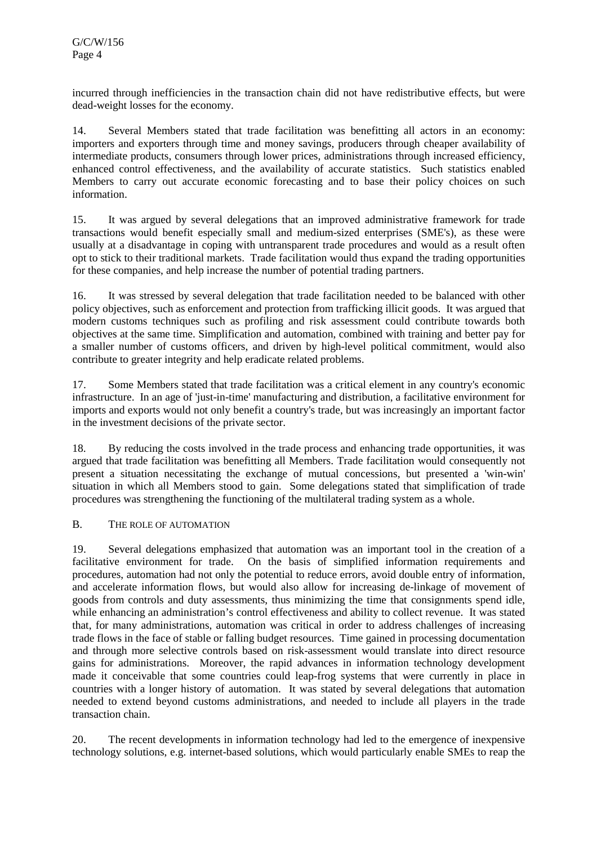incurred through inefficiencies in the transaction chain did not have redistributive effects, but were dead-weight losses for the economy.

14. Several Members stated that trade facilitation was benefitting all actors in an economy: importers and exporters through time and money savings, producers through cheaper availability of intermediate products, consumers through lower prices, administrations through increased efficiency, enhanced control effectiveness, and the availability of accurate statistics. Such statistics enabled Members to carry out accurate economic forecasting and to base their policy choices on such information.

15. It was argued by several delegations that an improved administrative framework for trade transactions would benefit especially small and medium-sized enterprises (SME's), as these were usually at a disadvantage in coping with untransparent trade procedures and would as a result often opt to stick to their traditional markets. Trade facilitation would thus expand the trading opportunities for these companies, and help increase the number of potential trading partners.

16. It was stressed by several delegation that trade facilitation needed to be balanced with other policy objectives, such as enforcement and protection from trafficking illicit goods. It was argued that modern customs techniques such as profiling and risk assessment could contribute towards both objectives at the same time. Simplification and automation, combined with training and better pay for a smaller number of customs officers, and driven by high-level political commitment, would also contribute to greater integrity and help eradicate related problems.

17. Some Members stated that trade facilitation was a critical element in any country's economic infrastructure. In an age of 'just-in-time' manufacturing and distribution, a facilitative environment for imports and exports would not only benefit a country's trade, but was increasingly an important factor in the investment decisions of the private sector.

18. By reducing the costs involved in the trade process and enhancing trade opportunities, it was argued that trade facilitation was benefitting all Members. Trade facilitation would consequently not present a situation necessitating the exchange of mutual concessions, but presented a 'win-win' situation in which all Members stood to gain. Some delegations stated that simplification of trade procedures was strengthening the functioning of the multilateral trading system as a whole.

#### B. THE ROLE OF AUTOMATION

19. Several delegations emphasized that automation was an important tool in the creation of a facilitative environment for trade. On the basis of simplified information requirements and procedures, automation had not only the potential to reduce errors, avoid double entry of information, and accelerate information flows, but would also allow for increasing de-linkage of movement of goods from controls and duty assessments, thus minimizing the time that consignments spend idle, while enhancing an administration's control effectiveness and ability to collect revenue. It was stated that, for many administrations, automation was critical in order to address challenges of increasing trade flows in the face of stable or falling budget resources. Time gained in processing documentation and through more selective controls based on risk-assessment would translate into direct resource gains for administrations. Moreover, the rapid advances in information technology development made it conceivable that some countries could leap-frog systems that were currently in place in countries with a longer history of automation. It was stated by several delegations that automation needed to extend beyond customs administrations, and needed to include all players in the trade transaction chain.

20. The recent developments in information technology had led to the emergence of inexpensive technology solutions, e.g. internet-based solutions, which would particularly enable SMEs to reap the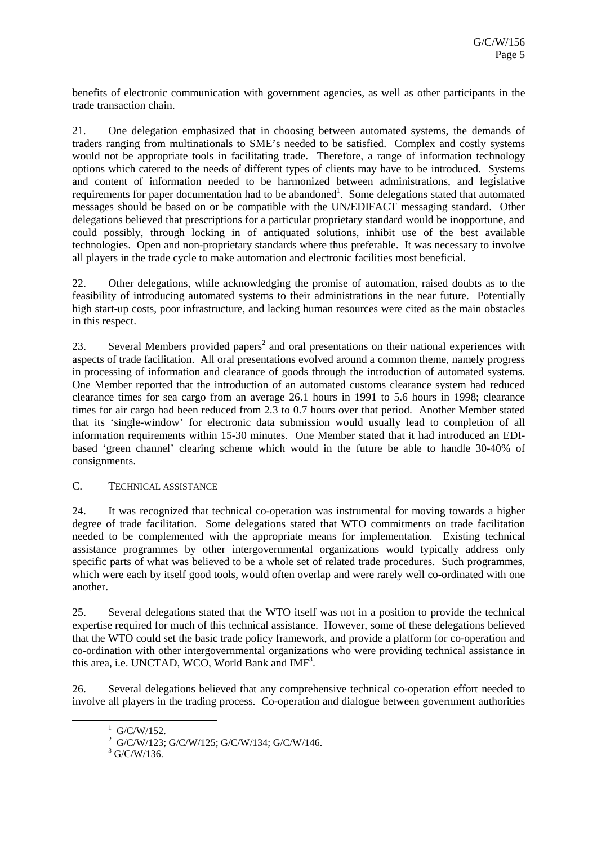benefits of electronic communication with government agencies, as well as other participants in the trade transaction chain.

21. One delegation emphasized that in choosing between automated systems, the demands of traders ranging from multinationals to SME's needed to be satisfied. Complex and costly systems would not be appropriate tools in facilitating trade. Therefore, a range of information technology options which catered to the needs of different types of clients may have to be introduced. Systems and content of information needed to be harmonized between administrations, and legislative requirements for paper documentation had to be abandoned<sup>1</sup>. Some delegations stated that automated messages should be based on or be compatible with the UN/EDIFACT messaging standard. Other delegations believed that prescriptions for a particular proprietary standard would be inopportune, and could possibly, through locking in of antiquated solutions, inhibit use of the best available technologies. Open and non-proprietary standards where thus preferable. It was necessary to involve all players in the trade cycle to make automation and electronic facilities most beneficial.

22. Other delegations, while acknowledging the promise of automation, raised doubts as to the feasibility of introducing automated systems to their administrations in the near future. Potentially high start-up costs, poor infrastructure, and lacking human resources were cited as the main obstacles in this respect.

23. Several Members provided papers<sup>2</sup> and oral presentations on their national experiences with aspects of trade facilitation. All oral presentations evolved around a common theme, namely progress in processing of information and clearance of goods through the introduction of automated systems. One Member reported that the introduction of an automated customs clearance system had reduced clearance times for sea cargo from an average 26.1 hours in 1991 to 5.6 hours in 1998; clearance times for air cargo had been reduced from 2.3 to 0.7 hours over that period. Another Member stated that its 'single-window' for electronic data submission would usually lead to completion of all information requirements within 15-30 minutes. One Member stated that it had introduced an EDIbased 'green channel' clearing scheme which would in the future be able to handle 30-40% of consignments.

#### C. TECHNICAL ASSISTANCE

24. It was recognized that technical co-operation was instrumental for moving towards a higher degree of trade facilitation. Some delegations stated that WTO commitments on trade facilitation needed to be complemented with the appropriate means for implementation. Existing technical assistance programmes by other intergovernmental organizations would typically address only specific parts of what was believed to be a whole set of related trade procedures. Such programmes, which were each by itself good tools, would often overlap and were rarely well co-ordinated with one another.

25. Several delegations stated that the WTO itself was not in a position to provide the technical expertise required for much of this technical assistance. However, some of these delegations believed that the WTO could set the basic trade policy framework, and provide a platform for co-operation and co-ordination with other intergovernmental organizations who were providing technical assistance in this area, i.e. UNCTAD, WCO, World Bank and  $IMF<sup>3</sup>$ .

26. Several delegations believed that any comprehensive technical co-operation effort needed to involve all players in the trading process. Co-operation and dialogue between government authorities

<sup>&</sup>lt;u>1</u>  $1$  G/C/W/152.

<sup>2</sup> G/C/W/123; G/C/W/125; G/C/W/134; G/C/W/146.

 $3$  G/C/W/136.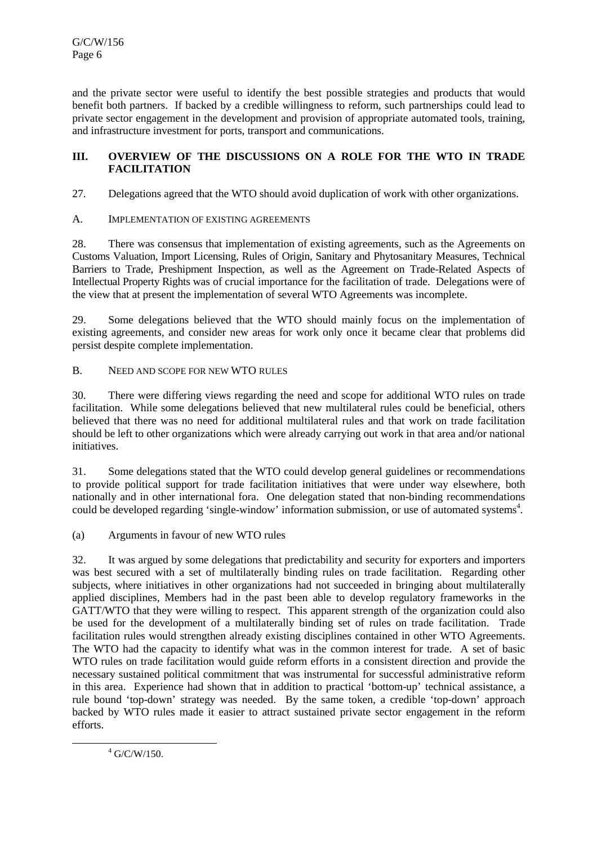and the private sector were useful to identify the best possible strategies and products that would benefit both partners. If backed by a credible willingness to reform, such partnerships could lead to private sector engagement in the development and provision of appropriate automated tools, training, and infrastructure investment for ports, transport and communications.

#### **III. OVERVIEW OF THE DISCUSSIONS ON A ROLE FOR THE WTO IN TRADE FACILITATION**

27. Delegations agreed that the WTO should avoid duplication of work with other organizations.

A. IMPLEMENTATION OF EXISTING AGREEMENTS

28. There was consensus that implementation of existing agreements, such as the Agreements on Customs Valuation, Import Licensing, Rules of Origin, Sanitary and Phytosanitary Measures, Technical Barriers to Trade, Preshipment Inspection, as well as the Agreement on Trade-Related Aspects of Intellectual Property Rights was of crucial importance for the facilitation of trade. Delegations were of the view that at present the implementation of several WTO Agreements was incomplete.

29. Some delegations believed that the WTO should mainly focus on the implementation of existing agreements, and consider new areas for work only once it became clear that problems did persist despite complete implementation.

B. NEED AND SCOPE FOR NEW WTO RULES

30. There were differing views regarding the need and scope for additional WTO rules on trade facilitation. While some delegations believed that new multilateral rules could be beneficial, others believed that there was no need for additional multilateral rules and that work on trade facilitation should be left to other organizations which were already carrying out work in that area and/or national initiatives.

31. Some delegations stated that the WTO could develop general guidelines or recommendations to provide political support for trade facilitation initiatives that were under way elsewhere, both nationally and in other international fora. One delegation stated that non-binding recommendations could be developed regarding 'single-window' information submission, or use of automated systems<sup>4</sup>.

(a) Arguments in favour of new WTO rules

32. It was argued by some delegations that predictability and security for exporters and importers was best secured with a set of multilaterally binding rules on trade facilitation. Regarding other subjects, where initiatives in other organizations had not succeeded in bringing about multilaterally applied disciplines, Members had in the past been able to develop regulatory frameworks in the GATT/WTO that they were willing to respect. This apparent strength of the organization could also be used for the development of a multilaterally binding set of rules on trade facilitation. Trade facilitation rules would strengthen already existing disciplines contained in other WTO Agreements. The WTO had the capacity to identify what was in the common interest for trade. A set of basic WTO rules on trade facilitation would guide reform efforts in a consistent direction and provide the necessary sustained political commitment that was instrumental for successful administrative reform in this area. Experience had shown that in addition to practical 'bottom-up' technical assistance, a rule bound 'top-down' strategy was needed. By the same token, a credible 'top-down' approach backed by WTO rules made it easier to attract sustained private sector engagement in the reform efforts.

 $\overline{a}$  $4$  G/C/W/150.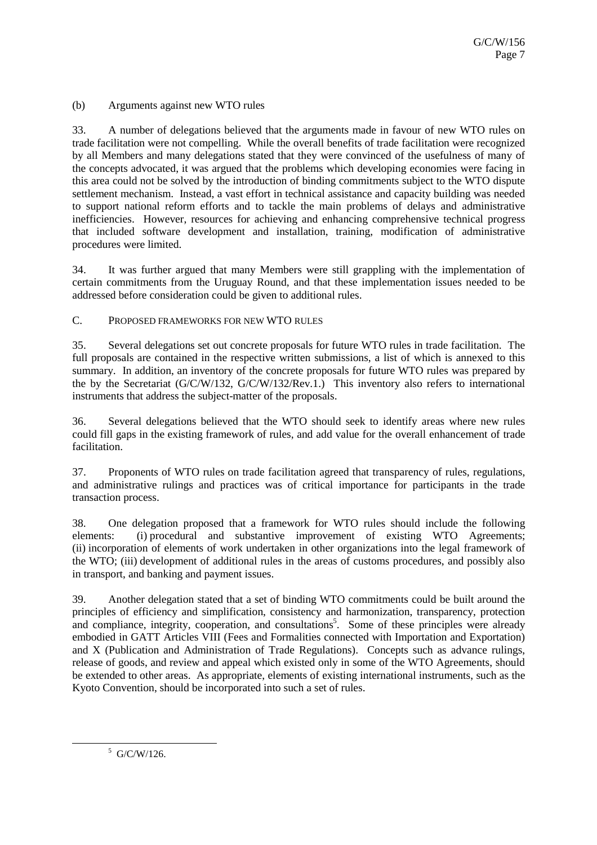(b) Arguments against new WTO rules

33. A number of delegations believed that the arguments made in favour of new WTO rules on trade facilitation were not compelling. While the overall benefits of trade facilitation were recognized by all Members and many delegations stated that they were convinced of the usefulness of many of the concepts advocated, it was argued that the problems which developing economies were facing in this area could not be solved by the introduction of binding commitments subject to the WTO dispute settlement mechanism. Instead, a vast effort in technical assistance and capacity building was needed to support national reform efforts and to tackle the main problems of delays and administrative inefficiencies. However, resources for achieving and enhancing comprehensive technical progress that included software development and installation, training, modification of administrative procedures were limited.

34. It was further argued that many Members were still grappling with the implementation of certain commitments from the Uruguay Round, and that these implementation issues needed to be addressed before consideration could be given to additional rules.

C. PROPOSED FRAMEWORKS FOR NEW WTO RULES

35. Several delegations set out concrete proposals for future WTO rules in trade facilitation. The full proposals are contained in the respective written submissions, a list of which is annexed to this summary. In addition, an inventory of the concrete proposals for future WTO rules was prepared by the by the Secretariat (G/C/W/132, G/C/W/132/Rev.1.) This inventory also refers to international instruments that address the subject-matter of the proposals.

36. Several delegations believed that the WTO should seek to identify areas where new rules could fill gaps in the existing framework of rules, and add value for the overall enhancement of trade facilitation.

37. Proponents of WTO rules on trade facilitation agreed that transparency of rules, regulations, and administrative rulings and practices was of critical importance for participants in the trade transaction process.

38. One delegation proposed that a framework for WTO rules should include the following elements: (i) procedural and substantive improvement of existing WTO Agreements; (ii) incorporation of elements of work undertaken in other organizations into the legal framework of the WTO; (iii) development of additional rules in the areas of customs procedures, and possibly also in transport, and banking and payment issues.

39. Another delegation stated that a set of binding WTO commitments could be built around the principles of efficiency and simplification, consistency and harmonization, transparency, protection and compliance, integrity, cooperation, and consultations<sup>5</sup>. Some of these principles were already embodied in GATT Articles VIII (Fees and Formalities connected with Importation and Exportation) and X (Publication and Administration of Trade Regulations). Concepts such as advance rulings, release of goods, and review and appeal which existed only in some of the WTO Agreements, should be extended to other areas. As appropriate, elements of existing international instruments, such as the Kyoto Convention, should be incorporated into such a set of rules.

 $\frac{1}{5}$  $5$  G/C/W/126.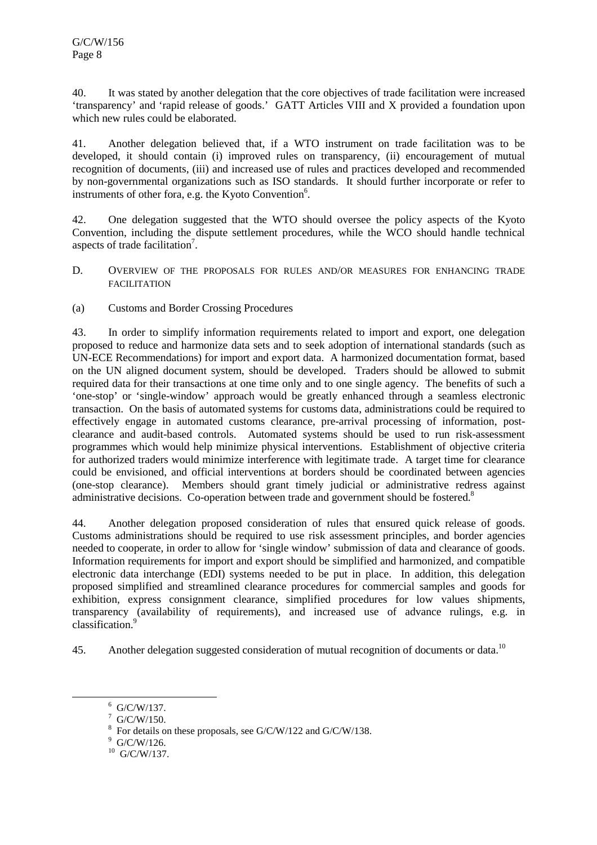40. It was stated by another delegation that the core objectives of trade facilitation were increased 'transparency' and 'rapid release of goods.' GATT Articles VIII and X provided a foundation upon which new rules could be elaborated.

41. Another delegation believed that, if a WTO instrument on trade facilitation was to be developed, it should contain (i) improved rules on transparency, (ii) encouragement of mutual recognition of documents, (iii) and increased use of rules and practices developed and recommended by non-governmental organizations such as ISO standards. It should further incorporate or refer to instruments of other fora, e.g. the Kyoto Convention<sup>6</sup>.

42. One delegation suggested that the WTO should oversee the policy aspects of the Kyoto Convention, including the dispute settlement procedures, while the WCO should handle technical aspects of trade facilitation<sup>7</sup>.

- D. OVERVIEW OF THE PROPOSALS FOR RULES AND/OR MEASURES FOR ENHANCING TRADE **FACILITATION**
- (a) Customs and Border Crossing Procedures

43. In order to simplify information requirements related to import and export, one delegation proposed to reduce and harmonize data sets and to seek adoption of international standards (such as UN-ECE Recommendations) for import and export data. A harmonized documentation format, based on the UN aligned document system, should be developed. Traders should be allowed to submit required data for their transactions at one time only and to one single agency. The benefits of such a 'one-stop' or 'single-window' approach would be greatly enhanced through a seamless electronic transaction. On the basis of automated systems for customs data, administrations could be required to effectively engage in automated customs clearance, pre-arrival processing of information, postclearance and audit-based controls. Automated systems should be used to run risk-assessment programmes which would help minimize physical interventions. Establishment of objective criteria for authorized traders would minimize interference with legitimate trade. A target time for clearance could be envisioned, and official interventions at borders should be coordinated between agencies (one-stop clearance). Members should grant timely judicial or administrative redress against administrative decisions. Co-operation between trade and government should be fostered.<sup>8</sup>

44. Another delegation proposed consideration of rules that ensured quick release of goods. Customs administrations should be required to use risk assessment principles, and border agencies needed to cooperate, in order to allow for 'single window' submission of data and clearance of goods. Information requirements for import and export should be simplified and harmonized, and compatible electronic data interchange (EDI) systems needed to be put in place. In addition, this delegation proposed simplified and streamlined clearance procedures for commercial samples and goods for exhibition, express consignment clearance, simplified procedures for low values shipments, transparency (availability of requirements), and increased use of advance rulings, e.g. in classification.<sup>9</sup>

45. Another delegation suggested consideration of mutual recognition of documents or data.<sup>10</sup>

 $\overline{6}$  $6$  G/C/W/137.

 $7$  G/C/W/150.

 $8\,$  For details on these proposals, see G/C/W/122 and G/C/W/138.

 $9$  G/C/W/126.

 $10$  G/C/W/137.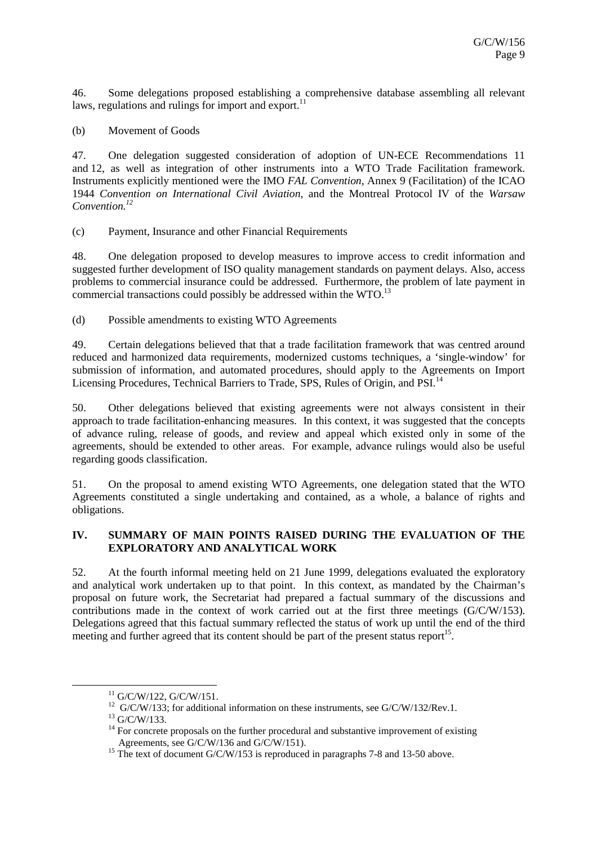46. Some delegations proposed establishing a comprehensive database assembling all relevant laws, regulations and rulings for import and export. $^{11}$ 

(b) Movement of Goods

47. One delegation suggested consideration of adoption of UN-ECE Recommendations 11 and 12, as well as integration of other instruments into a WTO Trade Facilitation framework. Instruments explicitly mentioned were the IMO *FAL Convention*, Annex 9 (Facilitation) of the ICAO 1944 *Convention on International Civil Aviation*, and the Montreal Protocol IV of the *Warsaw Convention.12*

(c) Payment, Insurance and other Financial Requirements

48. One delegation proposed to develop measures to improve access to credit information and suggested further development of ISO quality management standards on payment delays. Also, access problems to commercial insurance could be addressed. Furthermore, the problem of late payment in commercial transactions could possibly be addressed within the  $WTO$ <sup>13</sup>

(d) Possible amendments to existing WTO Agreements

49. Certain delegations believed that that a trade facilitation framework that was centred around reduced and harmonized data requirements, modernized customs techniques, a 'single-window' for submission of information, and automated procedures, should apply to the Agreements on Import Licensing Procedures, Technical Barriers to Trade, SPS, Rules of Origin, and PSI.<sup>14</sup>

50. Other delegations believed that existing agreements were not always consistent in their approach to trade facilitation-enhancing measures. In this context, it was suggested that the concepts of advance ruling, release of goods, and review and appeal which existed only in some of the agreements, should be extended to other areas. For example, advance rulings would also be useful regarding goods classification.

51. On the proposal to amend existing WTO Agreements, one delegation stated that the WTO Agreements constituted a single undertaking and contained, as a whole, a balance of rights and obligations.

#### **IV. SUMMARY OF MAIN POINTS RAISED DURING THE EVALUATION OF THE EXPLORATORY AND ANALYTICAL WORK**

52. At the fourth informal meeting held on 21 June 1999, delegations evaluated the exploratory and analytical work undertaken up to that point. In this context, as mandated by the Chairman's proposal on future work, the Secretariat had prepared a factual summary of the discussions and contributions made in the context of work carried out at the first three meetings (G/C/W/153). Delegations agreed that this factual summary reflected the status of work up until the end of the third meeting and further agreed that its content should be part of the present status report<sup>15</sup>.

 $11$  G/C/W/122, G/C/W/151.

<sup>&</sup>lt;sup>12</sup> G/C/W/133; for additional information on these instruments, see G/C/W/132/Rev.1.

 $13$  G/C/W/133.

 $14$  For concrete proposals on the further procedural and substantive improvement of existing Agreements, see G/C/W/136 and G/C/W/151).

<sup>&</sup>lt;sup>15</sup> The text of document G/C/W/153 is reproduced in paragraphs 7-8 and 13-50 above.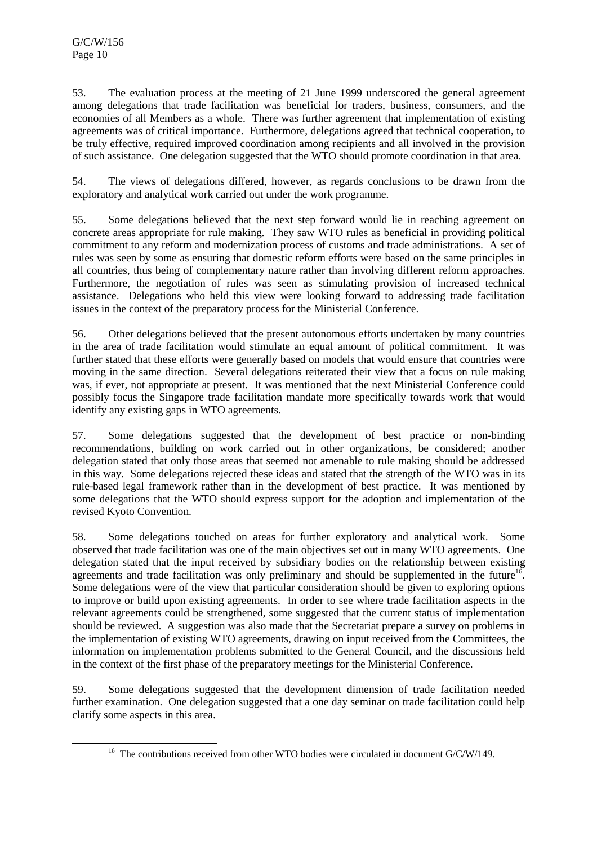53. The evaluation process at the meeting of 21 June 1999 underscored the general agreement among delegations that trade facilitation was beneficial for traders, business, consumers, and the economies of all Members as a whole. There was further agreement that implementation of existing agreements was of critical importance. Furthermore, delegations agreed that technical cooperation, to be truly effective, required improved coordination among recipients and all involved in the provision of such assistance. One delegation suggested that the WTO should promote coordination in that area.

54. The views of delegations differed, however, as regards conclusions to be drawn from the exploratory and analytical work carried out under the work programme.

55. Some delegations believed that the next step forward would lie in reaching agreement on concrete areas appropriate for rule making. They saw WTO rules as beneficial in providing political commitment to any reform and modernization process of customs and trade administrations. A set of rules was seen by some as ensuring that domestic reform efforts were based on the same principles in all countries, thus being of complementary nature rather than involving different reform approaches. Furthermore, the negotiation of rules was seen as stimulating provision of increased technical assistance. Delegations who held this view were looking forward to addressing trade facilitation issues in the context of the preparatory process for the Ministerial Conference.

56. Other delegations believed that the present autonomous efforts undertaken by many countries in the area of trade facilitation would stimulate an equal amount of political commitment. It was further stated that these efforts were generally based on models that would ensure that countries were moving in the same direction. Several delegations reiterated their view that a focus on rule making was, if ever, not appropriate at present. It was mentioned that the next Ministerial Conference could possibly focus the Singapore trade facilitation mandate more specifically towards work that would identify any existing gaps in WTO agreements.

57. Some delegations suggested that the development of best practice or non-binding recommendations, building on work carried out in other organizations, be considered; another delegation stated that only those areas that seemed not amenable to rule making should be addressed in this way. Some delegations rejected these ideas and stated that the strength of the WTO was in its rule-based legal framework rather than in the development of best practice. It was mentioned by some delegations that the WTO should express support for the adoption and implementation of the revised Kyoto Convention.

58. Some delegations touched on areas for further exploratory and analytical work. Some observed that trade facilitation was one of the main objectives set out in many WTO agreements. One delegation stated that the input received by subsidiary bodies on the relationship between existing agreements and trade facilitation was only preliminary and should be supplemented in the future $16$ . Some delegations were of the view that particular consideration should be given to exploring options to improve or build upon existing agreements. In order to see where trade facilitation aspects in the relevant agreements could be strengthened, some suggested that the current status of implementation should be reviewed. A suggestion was also made that the Secretariat prepare a survey on problems in the implementation of existing WTO agreements, drawing on input received from the Committees, the information on implementation problems submitted to the General Council, and the discussions held in the context of the first phase of the preparatory meetings for the Ministerial Conference.

59. Some delegations suggested that the development dimension of trade facilitation needed further examination. One delegation suggested that a one day seminar on trade facilitation could help clarify some aspects in this area.

<sup>&</sup>lt;sup>16</sup> The contributions received from other WTO bodies were circulated in document G/C/W/149.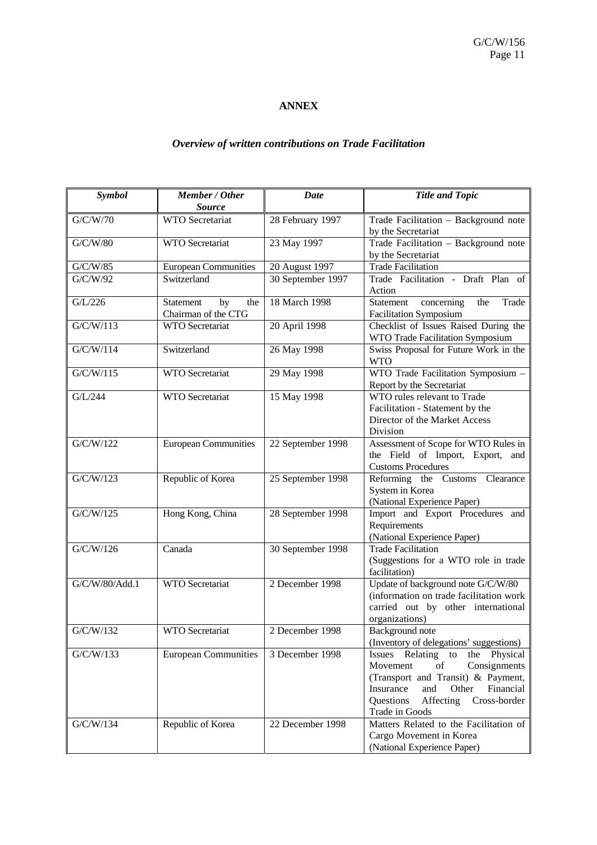#### **ANNEX**

### *Overview of written contributions on Trade Facilitation*

| <b>Symbol</b>  | <b>Member / Other</b>                         | Date              | <b>Title and Topic</b>                                                                                                                                                                                              |
|----------------|-----------------------------------------------|-------------------|---------------------------------------------------------------------------------------------------------------------------------------------------------------------------------------------------------------------|
|                | <b>Source</b>                                 |                   |                                                                                                                                                                                                                     |
| G/C/W/70       | <b>WTO</b> Secretariat                        | 28 February 1997  | Trade Facilitation - Background note<br>by the Secretariat                                                                                                                                                          |
| G/C/W/80       | WTO Secretariat                               | 23 May 1997       | Trade Facilitation - Background note<br>by the Secretariat                                                                                                                                                          |
| G/C/W/85       | <b>European Communities</b>                   | 20 August 1997    | <b>Trade Facilitation</b>                                                                                                                                                                                           |
| G/C/W/92       | Switzerland                                   | 30 September 1997 | Trade Facilitation - Draft Plan of<br>Action                                                                                                                                                                        |
| G/L/226        | Statement<br>by<br>the<br>Chairman of the CTG | 18 March 1998     | Statement<br>concerning<br>Trade<br>the<br><b>Facilitation Symposium</b>                                                                                                                                            |
| G/C/W/113      | <b>WTO</b> Secretariat                        | 20 April 1998     | Checklist of Issues Raised During the<br>WTO Trade Facilitation Symposium                                                                                                                                           |
| G/C/W/114      | Switzerland                                   | 26 May 1998       | Swiss Proposal for Future Work in the<br><b>WTO</b>                                                                                                                                                                 |
| G/C/W/115      | WTO Secretariat                               | 29 May 1998       | WTO Trade Facilitation Symposium -<br>Report by the Secretariat                                                                                                                                                     |
| G/L/244        | <b>WTO</b> Secretariat                        | 15 May 1998       | WTO rules relevant to Trade<br>Facilitation - Statement by the<br>Director of the Market Access<br>Division                                                                                                         |
| G/C/W/122      | <b>European Communities</b>                   | 22 September 1998 | Assessment of Scope for WTO Rules in<br>the Field of Import, Export, and<br><b>Customs Procedures</b>                                                                                                               |
| G/C/W/123      | Republic of Korea                             | 25 September 1998 | Reforming the Customs Clearance<br>System in Korea<br>(National Experience Paper)                                                                                                                                   |
| G/C/W/125      | Hong Kong, China                              | 28 September 1998 | Import and Export Procedures and<br>Requirements<br>(National Experience Paper)                                                                                                                                     |
| G/C/W/126      | Canada                                        | 30 September 1998 | <b>Trade Facilitation</b><br>(Suggestions for a WTO role in trade<br>facilitation)                                                                                                                                  |
| G/C/W/80/Add.1 | WTO Secretariat                               | 2 December 1998   | Update of background note G/C/W/80<br>(information on trade facilitation work<br>carried out by other international<br>organizations)                                                                               |
| G/C/W/132      | <b>WTO</b> Secretariat                        | 2 December 1998   | Background note<br>(Inventory of delegations' suggestions)                                                                                                                                                          |
| G/C/W/133      | <b>European Communities</b>                   | 3 December 1998   | Relating to<br>Issues<br>the Physical<br>of<br>Movement<br>Consignments<br>(Transport and Transit) & Payment,<br>Financial<br>Insurance<br>and<br>Other<br>Questions<br>Affecting<br>Cross-border<br>Trade in Goods |
| G/C/W/134      | Republic of Korea                             | 22 December 1998  | Matters Related to the Facilitation of<br>Cargo Movement in Korea<br>(National Experience Paper)                                                                                                                    |